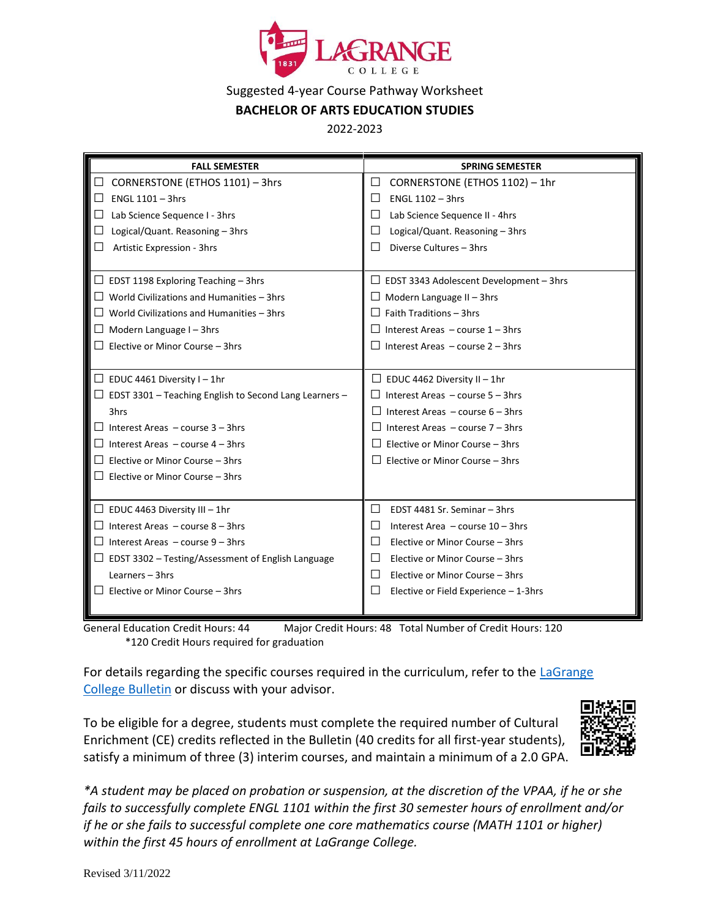

## Suggested 4-year Course Pathway Worksheet

## **BACHELOR OF ARTS EDUCATION STUDIES**

2022-2023

| <b>FALL SEMESTER</b>                                          | <b>SPRING SEMESTER</b>                              |
|---------------------------------------------------------------|-----------------------------------------------------|
| $\Box$ CORNERSTONE (ETHOS 1101) - 3hrs                        | CORNERSTONE (ETHOS 1102) - 1hr<br>$\Box$            |
| ENGL 1101 - 3hrs<br>$\Box$                                    | ENGL 1102 - 3hrs<br>H                               |
| $\Box$ Lab Science Sequence I - 3hrs                          | Lab Science Sequence II - 4hrs<br>ப                 |
| $\Box$<br>Logical/Quant. Reasoning - 3hrs                     | Logical/Quant. Reasoning - 3hrs<br>ΙI               |
| $\Box$<br>Artistic Expression - 3hrs                          | Diverse Cultures - 3hrs<br>$\overline{\phantom{a}}$ |
|                                                               |                                                     |
| $\Box$ EDST 1198 Exploring Teaching – 3hrs                    | $\Box$ EDST 3343 Adolescent Development – 3hrs      |
| $\Box$ World Civilizations and Humanities – 3hrs              | $\Box$ Modern Language II - 3hrs                    |
| $\Box$ World Civilizations and Humanities – 3hrs              | Faith Traditions - 3hrs                             |
| $\Box$ Modern Language I - 3hrs                               | $\Box$ Interest Areas – course 1 – 3hrs             |
| $\Box$ Elective or Minor Course – 3hrs                        | $\Box$ Interest Areas – course 2 – 3hrs             |
|                                                               |                                                     |
| $\Box$ EDUC 4461 Diversity I – 1hr                            | $\Box$ EDUC 4462 Diversity II - 1hr                 |
| $\Box$ EDST 3301 – Teaching English to Second Lang Learners – | Interest Areas - course 5 - 3hrs                    |
| 3hrs                                                          | Interest Areas - course 6 - 3hrs                    |
| $\Box$ Interest Areas – course 3 – 3hrs                       | Interest Areas - course 7 - 3hrs                    |
| $\Box$ Interest Areas – course 4 – 3hrs                       | Elective or Minor Course - 3hrs                     |
| $\Box$ Elective or Minor Course – 3hrs                        | Elective or Minor Course - 3hrs                     |
| $\Box$ Elective or Minor Course – 3hrs                        |                                                     |
|                                                               |                                                     |
| $\Box$ EDUC 4463 Diversity III - 1hr                          | EDST 4481 Sr. Seminar - 3hrs<br>$\Box$              |
| $\Box$ Interest Areas - course 8 - 3hrs                       | Interest Area - course 10 - 3hrs<br>ΙI              |
| $\Box$ Interest Areas – course 9 – 3hrs                       | Elective or Minor Course - 3hrs                     |
| $\Box$ EDST 3302 – Testing/Assessment of English Language     | Elective or Minor Course - 3hrs<br>ΙI               |
| Learners $-$ 3hrs                                             | Elective or Minor Course - 3hrs<br>$\perp$          |
| $\Box$ Elective or Minor Course – 3hrs                        | Elective or Field Experience - 1-3hrs               |
|                                                               |                                                     |

General Education Credit Hours: 44 Major Credit Hours: 48 Total Number of Credit Hours: 120 \*120 Credit Hours required for graduation

For details regarding the specific courses required in the curriculum, refer to the [LaGrange](http://www.lagrange.edu/academics/catalogs.html)  [College Bulletin](http://www.lagrange.edu/academics/catalogs.html) or discuss with your advisor.

To be eligible for a degree, students must complete the required number of Cultural Enrichment (CE) credits reflected in the Bulletin (40 credits for all first-year students), satisfy a minimum of three (3) interim courses, and maintain a minimum of a 2.0 GPA.



*\*A student may be placed on probation or suspension, at the discretion of the VPAA, if he or she fails to successfully complete ENGL 1101 within the first 30 semester hours of enrollment and/or if he or she fails to successful complete one core mathematics course (MATH 1101 or higher) within the first 45 hours of enrollment at LaGrange College.*